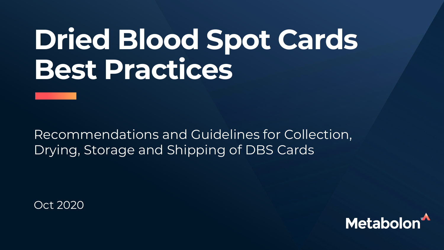# **Dried Blood Spot Cards Best Practices**

Recommendations and Guidelines for Collection, Drying, Storage and Shipping of DBS Cards

Oct 2020

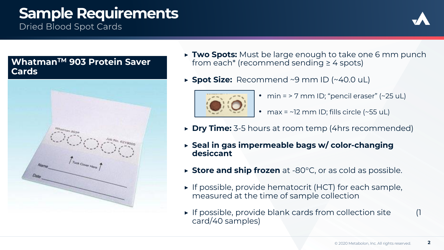## **Sample Requirements**

**Dried Blood Spot Cards** 



#### **WhatmanTM 903 Protein Saver Cards**



- ▶ **Two Spots:** Must be large enough to take one 6 mm punch from each\* (recommend sending  $\geq$  4 spots)
- ▶ **Spot Size:** Recommend ~9 mm ID (~40.0 uL)



- min =  $>$  7 mm ID; "pencil eraser" ( $\sim$ 25 uL)
- max =  $\sim$ 12 mm ID; fills circle ( $\sim$ 55 uL)
- ▶ **Dry Time:** 3-5 hours at room temp (4hrs recommended)
- ▶ **Seal in gas impermeable bags w/ color-changing desiccant**
- ▶ **Store and ship frozen** at -80°C, or as cold as possible.
- ▶ If possible, provide hematocrit (HCT) for each sample, measured at the time of sample collection
- ▶ If possible, provide blank cards from collection site (1 card/40 samples)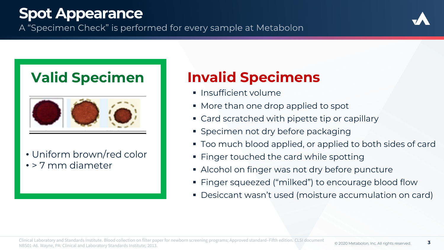### **Spot Appearance**

A "Specimen Check" is performed for every sample at Metabolon





• Uniform brown/red color • > 7 mm diameter

## **Valid Specimen Invalid Specimens**

- **·** Insufficient volume
- More than one drop applied to spot
- Card scratched with pipette tip or capillary
- **Specimen not dry before packaging**
- Too much blood applied, or applied to both sides of card
- Finger touched the card while spotting
- **EXED Alcohol on finger was not dry before puncture**
- Finger squeezed ("milked") to encourage blood flow
- **Desiccant wasn't used (moisture accumulation on card)**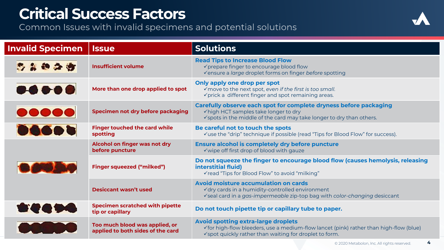# **Critical Success Factors**<br>Common Issues with invalid specimens and potential solutions



| <b>Invalid Specimen</b>        | <b>Issue</b>                                                        | <b>Solutions</b>                                                                                                                                                                                          |
|--------------------------------|---------------------------------------------------------------------|-----------------------------------------------------------------------------------------------------------------------------------------------------------------------------------------------------------|
| 多么的公方                          | <b>Insufficient volume</b>                                          | <b>Read Tips to Increase Blood Flow</b><br>√prepare finger to encourage blood flow<br>√ensure a large droplet forms on finger before spotting                                                             |
|                                | More than one drop applied to spot                                  | Only apply one drop per spot<br>√ move to the next spot, even if the first is too small.<br>$\checkmark$ prick a different finger and spot remaining areas.                                               |
| $\bullet\bullet\bullet\bullet$ | Specimen not dry before packaging                                   | Carefully observe each spot for complete dryness before packaging<br>√high HCT samples take longer to dry<br>√spots in the middle of the card may take longer to dry than others.                         |
| 06605                          | <b>Finger touched the card while</b><br>spotting                    | Be careful not to touch the spots<br>√use the "drip" technique if possible (read "Tips for Blood Flow" for success).                                                                                      |
|                                | Alcohol on finger was not dry<br>before puncture                    | <b>Ensure alcohol is completely dry before puncture</b><br>√wipe off first drop of blood with gauze                                                                                                       |
|                                | <b>Finger squeezed ("milked")</b>                                   | Do not squeeze the finger to encourage blood flow (causes hemolysis, releasing<br>interstitial fluid)<br>√read "Tips for Blood Flow" to avoid "milking"                                                   |
|                                | <b>Desiccant wasn't used</b>                                        | Avoid moisture accumulation on cards<br>√dry cards in a humidity-controlled environment<br>√seal card in a gas-impermeable zip-top bag with color-changing desiccant                                      |
| <b>Bie G Die</b>               | <b>Specimen scratched with pipette</b><br>tip or capillary          | Do not touch pipette tip or capillary tube to paper.                                                                                                                                                      |
|                                | Too much blood was applied, or<br>applied to both sides of the card | <b>Avoid spotting extra-large droplets</b><br>$\checkmark$ for high-flow bleeders, use a medium-flow lancet (pink) rather than high-flow (blue)<br>√spot quickly rather than waiting for droplet to form. |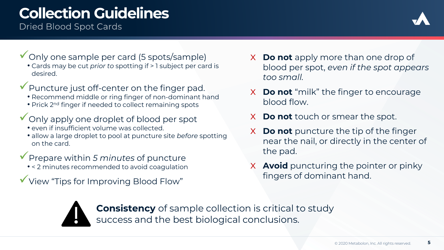## **Collection Guidelines**

**Dried Blood Spot Cards** 



- ✓Only one sample per card (5 spots/sample)
	- Cards may be cut *prior to* spotting if > 1 subject per card is desired.
- ✓Puncture just off-center on the finger pad.
	- Recommend middle or ring finger of non-dominant hand
	- Prick 2<sup>nd</sup> finger if needed to collect remaining spots
- ◆ Only apply one droplet of blood per spot
	- even if insufficient volume was collected.
	- allow a large droplet to pool at puncture site *before* spotting on the card.
- ✓Prepare within *5 minutes* of puncture
	- < 2 minutes recommended to avoid coagulation
- ✓View "Tips for Improving Blood Flow"
- x **Do not** apply more than one drop of blood per spot, *even if the spot appears too small.*
- x **Do not** "milk" the finger to encourage blood flow.
- x **Do not** touch or smear the spot.
- x **Do not** puncture the tip of the finger near the nail, or directly in the center of the pad.
- x **Avoid** puncturing the pointer or pinky fingers of dominant hand.



**Consistency** of sample collection is critical to study success and the best biological conclusions.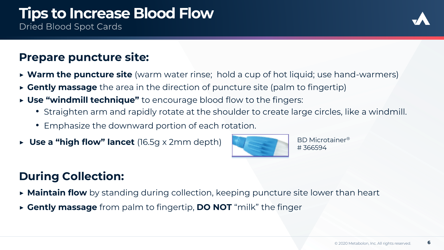# **Tips to Increase Blood Flow**

**Dried Blood Spot Cards** 



#### **Prepare puncture site:**

- ▶ **Warm the puncture site** (warm water rinse; hold a cup of hot liquid; use hand-warmers)
- ▶ **Gently massage** the area in the direction of puncture site (palm to fingertip)
- ▶ **Use "windmill technique"** to encourage blood flow to the fingers:
	- Straighten arm and rapidly rotate at the shoulder to create large circles, like a windmill.
	- Emphasize the downward portion of each rotation.
- ▶ **Use a "high flow" lancet** (16.5g x 2mm depth)



BD Microtainer® # 366594

### **During Collection:**

- ▶ **Maintain flow** by standing during collection, keeping puncture site lower than heart
- ▶ **Gently massage** from palm to fingertip, **DO NOT** "milk" the finger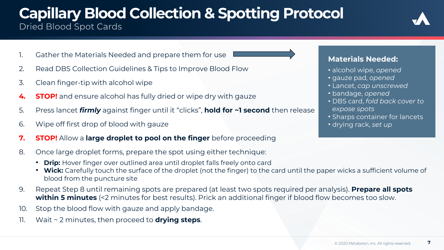# **Capillary Blood Collection & Spotting Protocol**

- 1. Gather the Materials Needed and prepare them for use
- 2. Read DBS Collection Guidelines & Tips to Improve Blood Flow
- 3. Clean finger-tip with alcohol wipe
- **4. STOP!** and ensure alcohol has fully dried or wipe dry with gauze
- 5. Press lancet *firmly* against finger until it "clicks", **hold for ~1 second** then release
- 6. Wipe off first drop of blood with gauze
- **7. STOP!** Allow a **large droplet to pool on the finger** before proceeding
- 8. Once large droplet forms, prepare the spot using either technique:
	- **Drip:** Hover finger over outlined area until droplet falls freely onto card
	- **Wick:** Carefully touch the surface of the droplet (not the finger) to the card until the paper wicks a sufficient volume of blood from the puncture site
- 9. Repeat Step 8 until remaining spots are prepared (at least two spots required per analysis). **Prepare all spots within 5 minutes** (<2 minutes for best results). Prick an additional finger if blood flow becomes too slow.
- 10. Stop the blood flow with gauze and apply bandage.
- 11. Wait ~ 2 minutes, then proceed to **drying steps**.

#### **Materials Needed:**

- alcohol wipe, *opened*
- gauze pad, *opened*
- Lancet, *cap unscrewed*
- bandage, *opened*
- DBS card, *fold back cover to expose spots*
- Sharps container for lancets • drying rack, *set up*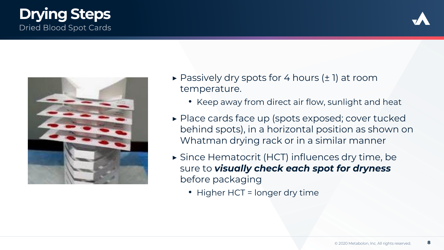#### **Drying StepsDried Blood Spot Cards**





- $\triangleright$  Passively dry spots for 4 hours ( $\pm$  1) at room temperature.
	- Keep away from direct air flow, sunlight and heat
- ▶ Place cards face up (spots exposed; cover tucked behind spots), in a horizontal position as shown on Whatman drying rack or in a similar manner
- ▶ Since Hematocrit (HCT) influences dry time, be sure to *visually check each spot for dryness*  before packaging
	- Higher HCT = longer dry time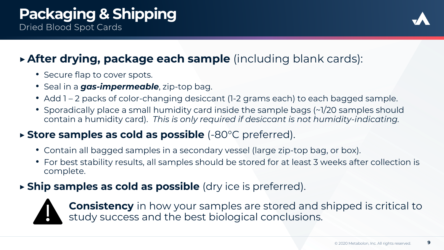

### ▶**After drying, package each sample** (including blank cards):

- Secure flap to cover spots.
- Seal in a *gas-impermeable*, zip-top bag.
- Add 1 2 packs of color-changing desiccant (1-2 grams each) to each bagged sample.
- Sporadically place a small humidity card inside the sample bags (~1/20 samples should contain a humidity card). *This is only required if desiccant is not humidity-indicating.*

#### ▶ **Store samples as cold as possible** (-80°C preferred).

- Contain all bagged samples in a secondary vessel (large zip-top bag, or box).
- For best stability results, all samples should be stored for at least 3 weeks after collection is complete.

#### ▶ **Ship samples as cold as possible** (dry ice is preferred).



**Consistency** in how your samples are stored and shipped is critical to study success and the best biological conclusions.